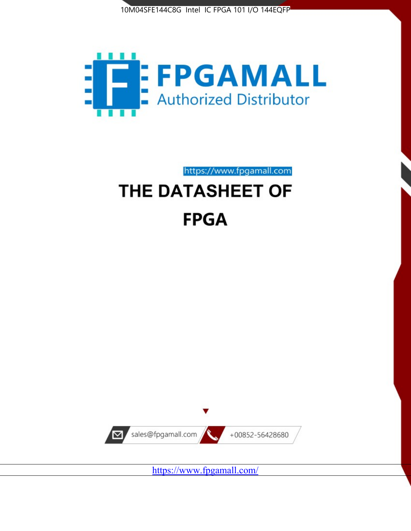



https://www.fpgamall.com THE DATASHEET OF

# **FPGA**



<https://www.fpgamall.com/>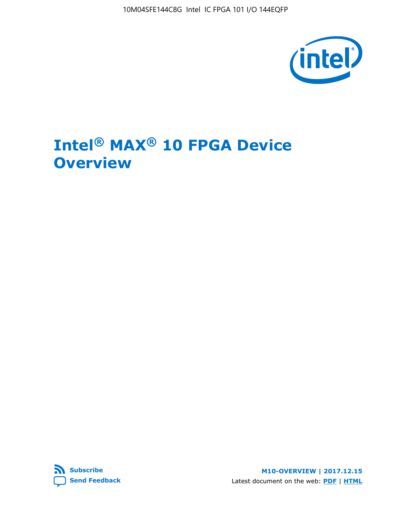10M04SFE144C8G Intel IC FPGA 101 I/O 144EQFP



# **Intel® MAX® 10 FPGA Device Overview**



**M10-OVERVIEW | 2017.12.15** Latest document on the web: **[PDF](https://www.altera.com/en_US/pdfs/literature/hb/max-10/m10_overview.pdf)** | **[HTML](https://www.altera.com/documentation/myt1396938463674.html)**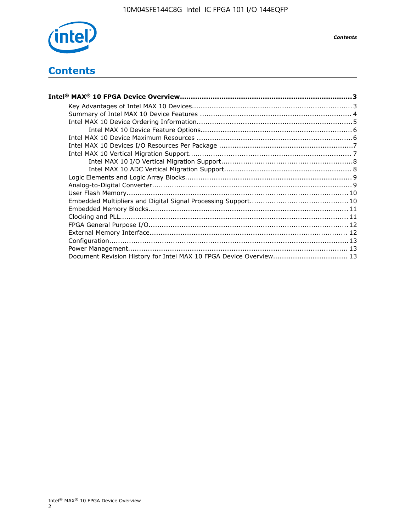

# **Contents**

| Intel® MAX® 10 FPGA Device Overview……………………………………………………………………………3  |  |
|--------------------------------------------------------------------|--|
|                                                                    |  |
|                                                                    |  |
|                                                                    |  |
|                                                                    |  |
|                                                                    |  |
|                                                                    |  |
|                                                                    |  |
|                                                                    |  |
|                                                                    |  |
|                                                                    |  |
|                                                                    |  |
|                                                                    |  |
|                                                                    |  |
|                                                                    |  |
|                                                                    |  |
|                                                                    |  |
|                                                                    |  |
|                                                                    |  |
|                                                                    |  |
| Document Revision History for Intel MAX 10 FPGA Device Overview 13 |  |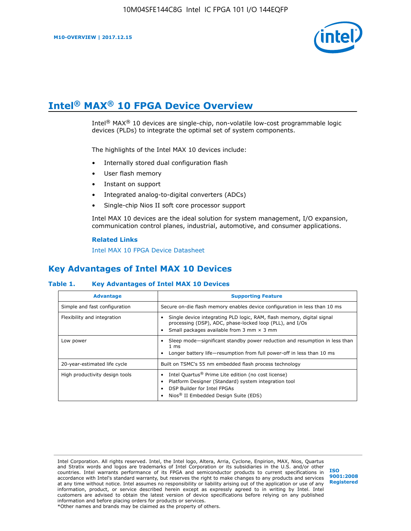

# **Intel® MAX® 10 FPGA Device Overview**

Intel® MAX® 10 devices are single-chip, non-volatile low-cost programmable logic devices (PLDs) to integrate the optimal set of system components.

The highlights of the Intel MAX 10 devices include:

- Internally stored dual configuration flash
- User flash memory
- Instant on support
- Integrated analog-to-digital converters (ADCs)
- Single-chip Nios II soft core processor support

Intel MAX 10 devices are the ideal solution for system management, I/O expansion, communication control planes, industrial, automotive, and consumer applications.

#### **Related Links**

[Intel MAX 10 FPGA Device Datasheet](https://www.altera.com/documentation/mcn1397700832153.html#mcn1397643748870)

### **Key Advantages of Intel MAX 10 Devices**

#### **Table 1. Key Advantages of Intel MAX 10 Devices**

| <b>Advantage</b>               | <b>Supporting Feature</b>                                                                                                                                                                                  |  |  |  |  |
|--------------------------------|------------------------------------------------------------------------------------------------------------------------------------------------------------------------------------------------------------|--|--|--|--|
| Simple and fast configuration  | Secure on-die flash memory enables device configuration in less than 10 ms                                                                                                                                 |  |  |  |  |
| Flexibility and integration    | Single device integrating PLD logic, RAM, flash memory, digital signal<br>processing (DSP), ADC, phase-locked loop (PLL), and I/Os<br>Small packages available from 3 mm $\times$ 3 mm                     |  |  |  |  |
| Low power                      | Sleep mode—significant standby power reduction and resumption in less than<br>$1 \text{ ms}$<br>Longer battery life—resumption from full power-off in less than 10 ms                                      |  |  |  |  |
| 20-year-estimated life cycle   | Built on TSMC's 55 nm embedded flash process technology                                                                                                                                                    |  |  |  |  |
| High productivity design tools | Intel Quartus <sup>®</sup> Prime Lite edition (no cost license)<br>Platform Designer (Standard) system integration tool<br>DSP Builder for Intel FPGAs<br>Nios <sup>®</sup> II Embedded Design Suite (EDS) |  |  |  |  |

Intel Corporation. All rights reserved. Intel, the Intel logo, Altera, Arria, Cyclone, Enpirion, MAX, Nios, Quartus and Stratix words and logos are trademarks of Intel Corporation or its subsidiaries in the U.S. and/or other countries. Intel warrants performance of its FPGA and semiconductor products to current specifications in accordance with Intel's standard warranty, but reserves the right to make changes to any products and services at any time without notice. Intel assumes no responsibility or liability arising out of the application or use of any information, product, or service described herein except as expressly agreed to in writing by Intel. Intel customers are advised to obtain the latest version of device specifications before relying on any published information and before placing orders for products or services. \*Other names and brands may be claimed as the property of others.

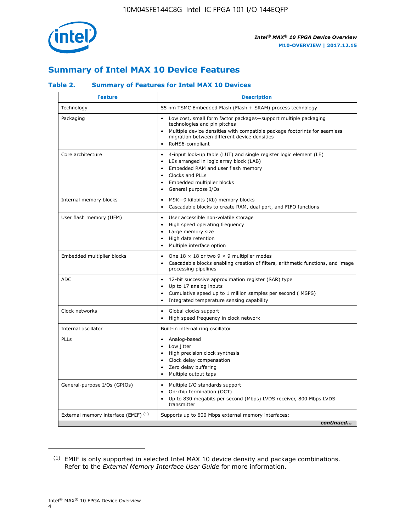

### **Summary of Intel MAX 10 Device Features**

### **Table 2. Summary of Features for Intel MAX 10 Devices**

| <b>Feature</b>                       | <b>Description</b>                                                                                                                                                                                                                                                                            |
|--------------------------------------|-----------------------------------------------------------------------------------------------------------------------------------------------------------------------------------------------------------------------------------------------------------------------------------------------|
| Technology                           | 55 nm TSMC Embedded Flash (Flash + SRAM) process technology                                                                                                                                                                                                                                   |
| Packaging                            | Low cost, small form factor packages-support multiple packaging<br>technologies and pin pitches<br>Multiple device densities with compatible package footprints for seamless<br>migration between different device densities<br>RoHS6-compliant                                               |
| Core architecture                    | 4-input look-up table (LUT) and single register logic element (LE)<br>$\bullet$<br>LEs arranged in logic array block (LAB)<br>$\bullet$<br>Embedded RAM and user flash memory<br>$\bullet$<br>Clocks and PLLs<br>$\bullet$<br>Embedded multiplier blocks<br>General purpose I/Os<br>$\bullet$ |
| Internal memory blocks               | M9K-9 kilobits (Kb) memory blocks<br>$\bullet$<br>Cascadable blocks to create RAM, dual port, and FIFO functions<br>$\bullet$                                                                                                                                                                 |
| User flash memory (UFM)              | User accessible non-volatile storage<br>$\bullet$<br>High speed operating frequency<br>$\bullet$<br>Large memory size<br>High data retention<br>$\bullet$<br>Multiple interface option                                                                                                        |
| Embedded multiplier blocks           | One $18 \times 18$ or two 9 $\times$ 9 multiplier modes<br>$\bullet$<br>Cascadable blocks enabling creation of filters, arithmetic functions, and image<br>processing pipelines                                                                                                               |
| <b>ADC</b>                           | 12-bit successive approximation register (SAR) type<br>$\bullet$<br>Up to 17 analog inputs<br>$\bullet$<br>Cumulative speed up to 1 million samples per second (MSPS)<br>Integrated temperature sensing capability<br>$\bullet$                                                               |
| Clock networks                       | Global clocks support<br>$\bullet$<br>High speed frequency in clock network                                                                                                                                                                                                                   |
| Internal oscillator                  | Built-in internal ring oscillator                                                                                                                                                                                                                                                             |
| PLLs                                 | Analog-based<br>$\bullet$<br>Low jitter<br>High precision clock synthesis<br>$\bullet$<br>Clock delay compensation<br>$\bullet$<br>Zero delay buffering<br>٠<br>Multiple output taps<br>$\bullet$                                                                                             |
| General-purpose I/Os (GPIOs)         | Multiple I/O standards support<br>$\bullet$<br>On-chip termination (OCT)<br>٠<br>Up to 830 megabits per second (Mbps) LVDS receiver, 800 Mbps LVDS<br>transmitter                                                                                                                             |
| External memory interface (EMIF) (1) | Supports up to 600 Mbps external memory interfaces:<br>continued                                                                                                                                                                                                                              |
|                                      |                                                                                                                                                                                                                                                                                               |

<sup>(1)</sup> EMIF is only supported in selected Intel MAX 10 device density and package combinations. Refer to the *External Memory Interface User Guide* for more information.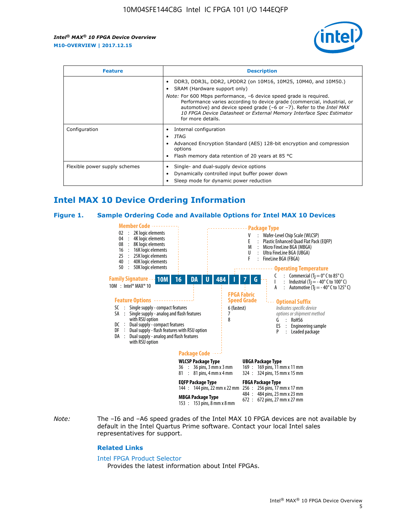

| <b>Feature</b>                | <b>Description</b>                                                                                                                                                                                                                                                                                                                             |  |  |  |  |
|-------------------------------|------------------------------------------------------------------------------------------------------------------------------------------------------------------------------------------------------------------------------------------------------------------------------------------------------------------------------------------------|--|--|--|--|
|                               | DDR3, DDR3L, DDR2, LPDDR2 (on 10M16, 10M25, 10M40, and 10M50.)<br>SRAM (Hardware support only)                                                                                                                                                                                                                                                 |  |  |  |  |
|                               | <i>Note:</i> For 600 Mbps performance, -6 device speed grade is required.<br>Performance varies according to device grade (commercial, industrial, or<br>automotive) and device speed grade $(-6 \text{ or } -7)$ . Refer to the <i>Intel MAX</i><br>10 FPGA Device Datasheet or External Memory Interface Spec Estimator<br>for more details. |  |  |  |  |
| Configuration                 | Internal configuration                                                                                                                                                                                                                                                                                                                         |  |  |  |  |
|                               | JTAG<br>٠                                                                                                                                                                                                                                                                                                                                      |  |  |  |  |
|                               | Advanced Encryption Standard (AES) 128-bit encryption and compression<br>options                                                                                                                                                                                                                                                               |  |  |  |  |
|                               | Flash memory data retention of 20 years at 85 $^{\circ}$ C                                                                                                                                                                                                                                                                                     |  |  |  |  |
| Flexible power supply schemes | Single- and dual-supply device options                                                                                                                                                                                                                                                                                                         |  |  |  |  |
|                               | Dynamically controlled input buffer power down                                                                                                                                                                                                                                                                                                 |  |  |  |  |
|                               | Sleep mode for dynamic power reduction                                                                                                                                                                                                                                                                                                         |  |  |  |  |

### **Intel MAX 10 Device Ordering Information**

#### **Figure 1. Sample Ordering Code and Available Options for Intel MAX 10 Devices**



*Note:* The –I6 and –A6 speed grades of the Intel MAX 10 FPGA devices are not available by default in the Intel Quartus Prime software. Contact your local Intel sales representatives for support.

#### **Related Links**

#### [Intel FPGA Product Selector](http://www.altera.com/products/selector/psg-selector.html)

Provides the latest information about Intel FPGAs.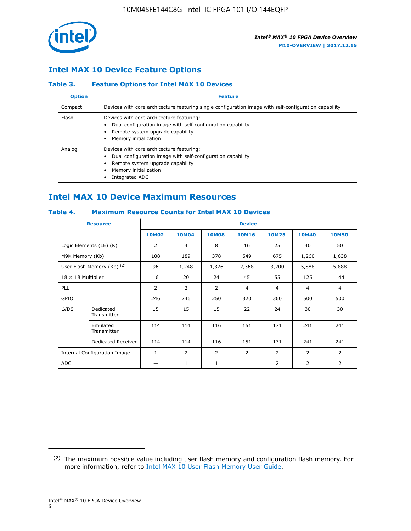

### **Intel MAX 10 Device Feature Options**

### **Table 3. Feature Options for Intel MAX 10 Devices**

| <b>Option</b> | <b>Feature</b>                                                                                                                                                                          |
|---------------|-----------------------------------------------------------------------------------------------------------------------------------------------------------------------------------------|
| Compact       | Devices with core architecture featuring single configuration image with self-configuration capability                                                                                  |
| Flash         | Devices with core architecture featuring:<br>Dual configuration image with self-configuration capability<br>Remote system upgrade capability<br>Memory initialization                   |
| Analog        | Devices with core architecture featuring:<br>Dual configuration image with self-configuration capability<br>Remote system upgrade capability<br>Memory initialization<br>Integrated ADC |

### **Intel MAX 10 Device Maximum Resources**

### **Table 4. Maximum Resource Counts for Intel MAX 10 Devices**

|                              | <b>Resource</b>            | <b>Device</b> |                |                |                |                |              |                |
|------------------------------|----------------------------|---------------|----------------|----------------|----------------|----------------|--------------|----------------|
|                              |                            | <b>10M02</b>  | <b>10M04</b>   | <b>10M08</b>   | <b>10M16</b>   | <b>10M25</b>   | <b>10M40</b> | <b>10M50</b>   |
|                              | Logic Elements (LE) (K)    | 2             | 4              | 8              | 16             | 25             | 40           | 50             |
| M9K Memory (Kb)              |                            | 108           | 189            | 378            | 549            | 675            | 1,260        | 1,638          |
|                              | User Flash Memory (Kb) (2) | 96            | 1,248          | 1,376          | 2,368          | 3,200          | 5,888        | 5,888          |
| $18 \times 18$ Multiplier    |                            | 16            | 20             | 24             | 45             | 55             | 125          | 144            |
| <b>PLL</b>                   |                            | 2             | 2              | 2              | $\overline{4}$ | $\overline{4}$ | 4            | $\overline{4}$ |
| GPIO                         |                            | 246           | 246            | 250            | 320            | 360            | 500          | 500            |
| <b>LVDS</b>                  | Dedicated<br>Transmitter   | 15            | 15             | 15             | 22             | 24             | 30           | 30             |
|                              | Emulated<br>Transmitter    | 114           | 114            | 116            | 151            | 171            | 241          | 241            |
|                              | Dedicated Receiver         | 114           | 114            | 116            | 151            | 171            | 241          | 241            |
| Internal Configuration Image |                            | $\mathbf{1}$  | $\overline{2}$ | $\overline{2}$ | $\overline{2}$ | $\overline{2}$ | 2            | $\overline{2}$ |
| <b>ADC</b>                   |                            |               | 1              | 1              | 1              | 2              | 2            | 2              |

<sup>(2)</sup> The maximum possible value including user flash memory and configuration flash memory. For more information, refer to [Intel MAX 10 User Flash Memory User Guide](https://www.altera.com/documentation/vgo1395753117436.html#vgo1395811844282).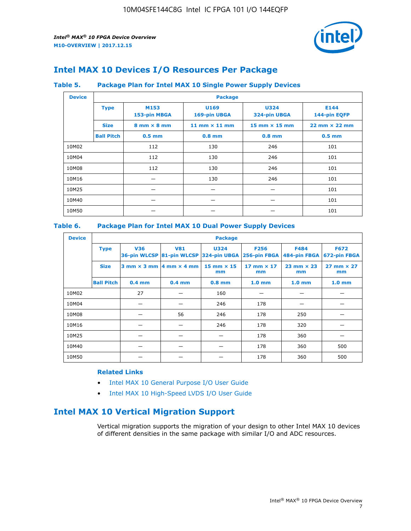

### **Intel MAX 10 Devices I/O Resources Per Package**

#### **Table 5. Package Plan for Intel MAX 10 Single Power Supply Devices**

| <b>Device</b> |                   | <b>Package</b>                     |                      |                                      |                                      |  |  |  |
|---------------|-------------------|------------------------------------|----------------------|--------------------------------------|--------------------------------------|--|--|--|
|               | <b>Type</b>       | M153<br>153-pin MBGA               | U169<br>169-pin UBGA | <b>U324</b><br>324-pin UBGA          | E144<br>144-pin EQFP                 |  |  |  |
|               | <b>Size</b>       | $8 \text{ mm} \times 8 \text{ mm}$ | 11 mm $\times$ 11 mm | $15 \text{ mm} \times 15 \text{ mm}$ | $22 \text{ mm} \times 22 \text{ mm}$ |  |  |  |
|               | <b>Ball Pitch</b> | $0.5$ mm                           | $0.8$ mm             | $0.8$ mm                             | $0.5$ mm                             |  |  |  |
| 10M02         |                   | 112                                | 130                  | 246                                  | 101                                  |  |  |  |
| 10M04         |                   | 112                                | 130                  | 246                                  | 101                                  |  |  |  |
| 10M08         | 112<br>130        |                                    | 246                  | 101                                  |                                      |  |  |  |
| 10M16         |                   |                                    | 130                  | 246                                  | 101                                  |  |  |  |
| 10M25         |                   |                                    |                      |                                      | 101                                  |  |  |  |
| 10M40         |                   | –                                  |                      |                                      | 101                                  |  |  |  |
| 10M50         |                   |                                    |                      |                                      | 101                                  |  |  |  |

### **Table 6. Package Plan for Intel MAX 10 Dual Power Supply Devices**

| <b>Device</b> |                   | <b>Package</b> |                                            |                                                                    |                         |                           |                             |  |  |
|---------------|-------------------|----------------|--------------------------------------------|--------------------------------------------------------------------|-------------------------|---------------------------|-----------------------------|--|--|
|               | <b>Type</b>       | <b>V36</b>     | <b>V81</b>                                 | <b>U324</b><br>36-pin WLCSP 81-pin WLCSP 324-pin UBGA 256-pin FBGA | <b>F256</b>             | F484<br>484-pin FBGA      | <b>F672</b><br>672-pin FBGA |  |  |
|               | <b>Size</b>       |                | $3$ mm $\times$ 3 mm $ 4$ mm $\times$ 4 mm | 15 mm $\times$ 15<br>mm                                            | 17 mm $\times$ 17<br>mm | $23$ mm $\times$ 23<br>mm | $27$ mm $\times$ 27<br>mm   |  |  |
|               | <b>Ball Pitch</b> | $0.4$ mm       | $0.4$ mm                                   | $0.8$ mm                                                           | 1.0 <sub>mm</sub>       | 1.0 <sub>mm</sub>         | 1.0 <sub>mm</sub>           |  |  |
| 10M02         |                   | 27             |                                            | 160                                                                |                         |                           |                             |  |  |
| 10M04         |                   |                |                                            | 246                                                                | 178                     |                           |                             |  |  |
| 10M08         |                   |                | 56                                         | 246                                                                | 178                     | 250                       |                             |  |  |
| 10M16         |                   |                |                                            | 246                                                                | 178                     | 320                       |                             |  |  |
| 10M25         |                   |                |                                            |                                                                    | 178                     | 360                       |                             |  |  |
| 10M40         |                   |                |                                            |                                                                    | 178                     | 360                       | 500                         |  |  |
| 10M50         |                   |                |                                            |                                                                    | 178                     | 360                       | 500                         |  |  |

### **Related Links**

- [Intel MAX 10 General Purpose I/O User Guide](https://www.altera.com/documentation/sam1393999966669.html#sam1394000084476)
- [Intel MAX 10 High-Speed LVDS I/O User Guide](https://www.altera.com/documentation/sam1394433606063.html#sam1394433911642)

### **Intel MAX 10 Vertical Migration Support**

Vertical migration supports the migration of your design to other Intel MAX 10 devices of different densities in the same package with similar I/O and ADC resources.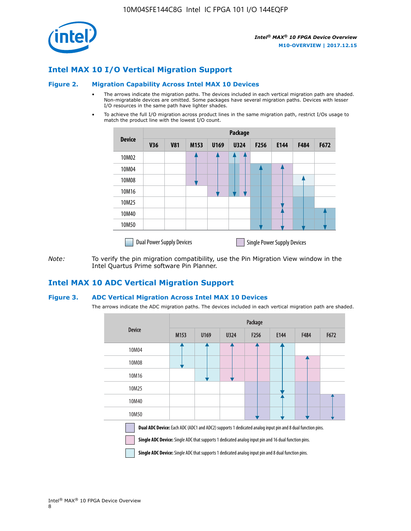

### **Intel MAX 10 I/O Vertical Migration Support**

#### **Figure 2. Migration Capability Across Intel MAX 10 Devices**

- The arrows indicate the migration paths. The devices included in each vertical migration path are shaded. Non-migratable devices are omitted. Some packages have several migration paths. Devices with lesser I/O resources in the same path have lighter shades.
- To achieve the full I/O migration across product lines in the same migration path, restrict I/Os usage to match the product line with the lowest I/O count.

|               | <b>Package</b>                   |            |      |      |             |                  |                                    |      |      |
|---------------|----------------------------------|------------|------|------|-------------|------------------|------------------------------------|------|------|
| <b>Device</b> | <b>V36</b>                       | <b>V81</b> | M153 | U169 | <b>U324</b> | F <sub>256</sub> | E144                               | F484 | F672 |
| 10M02         |                                  |            |      |      | 7           |                  |                                    |      |      |
| 10M04         |                                  |            |      |      |             |                  |                                    |      |      |
| 10M08         |                                  |            |      |      |             |                  |                                    |      |      |
| 10M16         |                                  |            |      |      |             |                  |                                    |      |      |
| 10M25         |                                  |            |      |      |             |                  |                                    |      |      |
| 10M40         |                                  |            |      |      |             |                  |                                    |      |      |
| 10M50         |                                  |            |      |      |             |                  |                                    |      |      |
|               | <b>Dual Power Supply Devices</b> |            |      |      |             |                  | <b>Single Power Supply Devices</b> |      |      |

*Note:* To verify the pin migration compatibility, use the Pin Migration View window in the Intel Quartus Prime software Pin Planner.

### **Intel MAX 10 ADC Vertical Migration Support**

#### **Figure 3. ADC Vertical Migration Across Intel MAX 10 Devices**

The arrows indicate the ADC migration paths. The devices included in each vertical migration path are shaded.

|                                                                                                                                                                                                                         | Package          |      |      |                  |      |      |      |  |  |
|-------------------------------------------------------------------------------------------------------------------------------------------------------------------------------------------------------------------------|------------------|------|------|------------------|------|------|------|--|--|
| <b>Device</b>                                                                                                                                                                                                           | M <sub>153</sub> | U169 | U324 | F <sub>256</sub> | E144 | F484 | F672 |  |  |
| 10M04                                                                                                                                                                                                                   |                  |      |      |                  |      |      |      |  |  |
| 10M08                                                                                                                                                                                                                   |                  |      |      |                  |      |      |      |  |  |
| 10M16                                                                                                                                                                                                                   |                  |      |      |                  |      |      |      |  |  |
| 10M25                                                                                                                                                                                                                   |                  |      |      |                  |      |      |      |  |  |
| 10M40                                                                                                                                                                                                                   |                  |      |      |                  |      |      |      |  |  |
| 10M50                                                                                                                                                                                                                   |                  |      |      |                  |      |      |      |  |  |
| <b>Dual ADC Device:</b> Each ADC (ADC1 and ADC2) supports 1 dedicated analog input pin and 8 dual function pins.<br>Single ADC Device: Single ADC that supports 1 dedicated analog input pin and 16 dual function pins. |                  |      |      |                  |      |      |      |  |  |

**Single ADC Device:** Single ADC that supports 1 dedicated analog input pin and 8 dual function pins.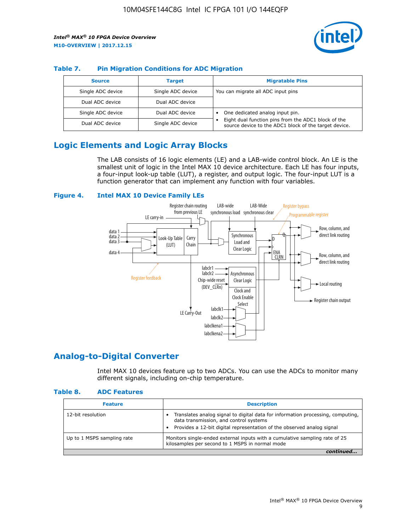

### **Table 7. Pin Migration Conditions for ADC Migration**

| <b>Source</b>     | <b>Target</b>     | <b>Migratable Pins</b>                                                                                            |
|-------------------|-------------------|-------------------------------------------------------------------------------------------------------------------|
| Single ADC device | Single ADC device | You can migrate all ADC input pins                                                                                |
| Dual ADC device   | Dual ADC device   |                                                                                                                   |
| Single ADC device | Dual ADC device   | One dedicated analog input pin.                                                                                   |
| Dual ADC device   | Single ADC device | Eight dual function pins from the ADC1 block of the<br>٠<br>source device to the ADC1 block of the target device. |

### **Logic Elements and Logic Array Blocks**

The LAB consists of 16 logic elements (LE) and a LAB-wide control block. An LE is the smallest unit of logic in the Intel MAX 10 device architecture. Each LE has four inputs, a four-input look-up table (LUT), a register, and output logic. The four-input LUT is a function generator that can implement any function with four variables.

### **Figure 4. Intel MAX 10 Device Family LEs**



### **Analog-to-Digital Converter**

Intel MAX 10 devices feature up to two ADCs. You can use the ADCs to monitor many different signals, including on-chip temperature.

#### **Table 8. ADC Features**

| <b>Feature</b>             | <b>Description</b>                                                                                                                                                                                  |
|----------------------------|-----------------------------------------------------------------------------------------------------------------------------------------------------------------------------------------------------|
| 12-bit resolution          | Translates analog signal to digital data for information processing, computing,<br>data transmission, and control systems<br>Provides a 12-bit digital representation of the observed analog signal |
| Up to 1 MSPS sampling rate | Monitors single-ended external inputs with a cumulative sampling rate of 25<br>kilosamples per second to 1 MSPS in normal mode                                                                      |
|                            |                                                                                                                                                                                                     |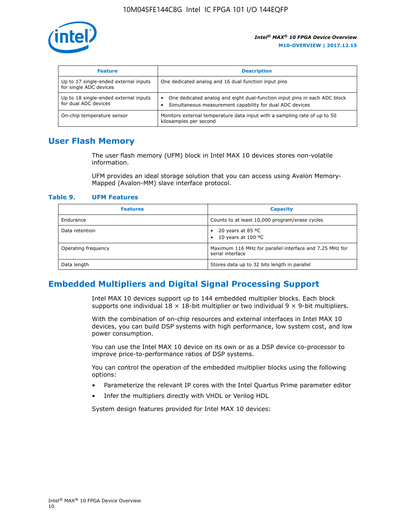

| <b>Feature</b>                                                  | <b>Description</b>                                                                                                                         |
|-----------------------------------------------------------------|--------------------------------------------------------------------------------------------------------------------------------------------|
| Up to 17 single-ended external inputs<br>for single ADC devices | One dedicated analog and 16 dual function input pins                                                                                       |
| Up to 18 single-ended external inputs<br>for dual ADC devices   | One dedicated analog and eight dual-function input pins in each ADC block<br>٠<br>Simultaneous measurement capability for dual ADC devices |
| On-chip temperature sensor                                      | Monitors external temperature data input with a sampling rate of up to 50<br>kilosamples per second                                        |

### **User Flash Memory**

The user flash memory (UFM) block in Intel MAX 10 devices stores non-volatile information.

UFM provides an ideal storage solution that you can access using Avalon Memory-Mapped (Avalon-MM) slave interface protocol.

#### **Table 9. UFM Features**

| <b>Features</b>     | <b>Capacity</b>                                                             |
|---------------------|-----------------------------------------------------------------------------|
| Endurance           | Counts to at least 10,000 program/erase cycles                              |
| Data retention      | 20 years at 85 $^{\circ}$ C<br>٠<br>10 years at 100 °C<br>$\bullet$         |
| Operating frequency | Maximum 116 MHz for parallel interface and 7.25 MHz for<br>serial interface |
| Data length         | Stores data up to 32 bits length in parallel                                |

### **Embedded Multipliers and Digital Signal Processing Support**

Intel MAX 10 devices support up to 144 embedded multiplier blocks. Each block supports one individual  $18 \times 18$ -bit multiplier or two individual  $9 \times 9$ -bit multipliers.

With the combination of on-chip resources and external interfaces in Intel MAX 10 devices, you can build DSP systems with high performance, low system cost, and low power consumption.

You can use the Intel MAX 10 device on its own or as a DSP device co-processor to improve price-to-performance ratios of DSP systems.

You can control the operation of the embedded multiplier blocks using the following options:

- Parameterize the relevant IP cores with the Intel Quartus Prime parameter editor
- Infer the multipliers directly with VHDL or Verilog HDL

System design features provided for Intel MAX 10 devices: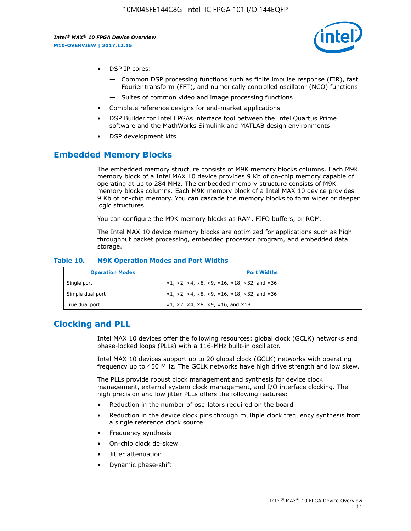

- DSP IP cores:
	- Common DSP processing functions such as finite impulse response (FIR), fast Fourier transform (FFT), and numerically controlled oscillator (NCO) functions
	- Suites of common video and image processing functions
- Complete reference designs for end-market applications
- DSP Builder for Intel FPGAs interface tool between the Intel Quartus Prime software and the MathWorks Simulink and MATLAB design environments
- DSP development kits

### **Embedded Memory Blocks**

The embedded memory structure consists of M9K memory blocks columns. Each M9K memory block of a Intel MAX 10 device provides 9 Kb of on-chip memory capable of operating at up to 284 MHz. The embedded memory structure consists of M9K memory blocks columns. Each M9K memory block of a Intel MAX 10 device provides 9 Kb of on-chip memory. You can cascade the memory blocks to form wider or deeper logic structures.

You can configure the M9K memory blocks as RAM, FIFO buffers, or ROM.

The Intel MAX 10 device memory blocks are optimized for applications such as high throughput packet processing, embedded processor program, and embedded data storage.

| <b>Operation Modes</b> | <b>Port Widths</b>                                                            |
|------------------------|-------------------------------------------------------------------------------|
| Single port            | $x1, x2, x4, x8, x9, x16, x18, x32, and x36$                                  |
| Simple dual port       | $x1, x2, x4, x8, x9, x16, x18, x32, and x36$                                  |
| True dual port         | $\times1, \times2, \times4, \times8, \times9, \times16, \text{and } \times18$ |

#### **Table 10. M9K Operation Modes and Port Widths**

### **Clocking and PLL**

Intel MAX 10 devices offer the following resources: global clock (GCLK) networks and phase-locked loops (PLLs) with a 116-MHz built-in oscillator.

Intel MAX 10 devices support up to 20 global clock (GCLK) networks with operating frequency up to 450 MHz. The GCLK networks have high drive strength and low skew.

The PLLs provide robust clock management and synthesis for device clock management, external system clock management, and I/O interface clocking. The high precision and low jitter PLLs offers the following features:

- Reduction in the number of oscillators required on the board
- Reduction in the device clock pins through multiple clock frequency synthesis from a single reference clock source
- Frequency synthesis
- On-chip clock de-skew
- Jitter attenuation
- Dynamic phase-shift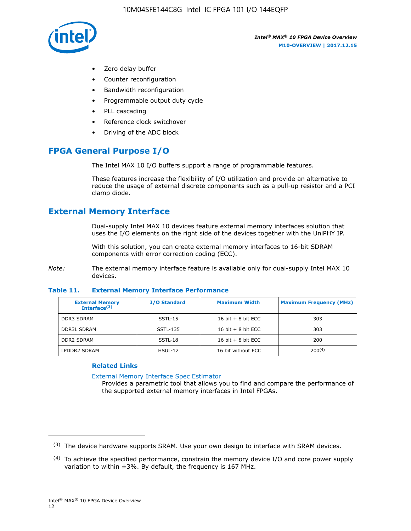

- Zero delay buffer
- Counter reconfiguration
- Bandwidth reconfiguration
- Programmable output duty cycle
- PLL cascading
- Reference clock switchover
- Driving of the ADC block

### **FPGA General Purpose I/O**

The Intel MAX 10 I/O buffers support a range of programmable features.

These features increase the flexibility of I/O utilization and provide an alternative to reduce the usage of external discrete components such as a pull-up resistor and a PCI clamp diode.

### **External Memory Interface**

Dual-supply Intel MAX 10 devices feature external memory interfaces solution that uses the I/O elements on the right side of the devices together with the UniPHY IP.

With this solution, you can create external memory interfaces to 16-bit SDRAM components with error correction coding (ECC).

*Note:* The external memory interface feature is available only for dual-supply Intel MAX 10 devices.

#### **Table 11. External Memory Interface Performance**

| <b>External Memory</b><br>Interface $(3)$ | <b>I/O Standard</b> | <b>Maximum Width</b> | <b>Maximum Frequency (MHz)</b> |
|-------------------------------------------|---------------------|----------------------|--------------------------------|
| <b>DDR3 SDRAM</b>                         | $SSTL-15$           | 16 bit $+8$ bit ECC  | 303                            |
| <b>DDR3L SDRAM</b>                        | SSTL-135            | 16 bit $+8$ bit ECC  | 303                            |
| <b>DDR2 SDRAM</b>                         | SSTL-18             | 16 bit $+8$ bit ECC  | 200                            |
| LPDDR2 SDRAM                              | HSUL-12             | 16 bit without ECC   | $200^{(4)}$                    |

#### **Related Links**

[External Memory Interface Spec Estimator](http://www.altera.com/technology/memory/estimator/mem-emif-index.html)

Provides a parametric tool that allows you to find and compare the performance of the supported external memory interfaces in Intel FPGAs.

 $(3)$  The device hardware supports SRAM. Use your own design to interface with SRAM devices.

 $(4)$  To achieve the specified performance, constrain the memory device I/O and core power supply variation to within ±3%. By default, the frequency is 167 MHz.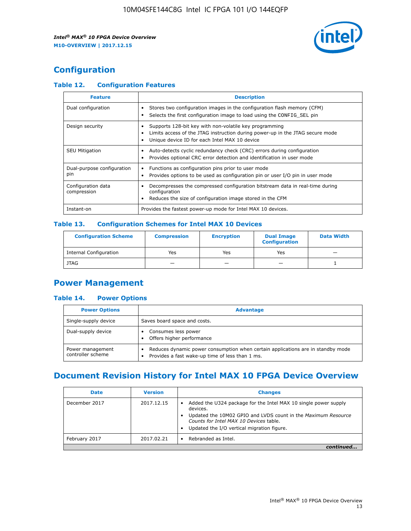

## **Configuration**

### **Table 12. Configuration Features**

| <b>Feature</b>                    | <b>Description</b>                                                                                                                                                                       |
|-----------------------------------|------------------------------------------------------------------------------------------------------------------------------------------------------------------------------------------|
| Dual configuration                | Stores two configuration images in the configuration flash memory (CFM)<br>Selects the first configuration image to load using the CONFIG SEL pin                                        |
| Design security                   | Supports 128-bit key with non-volatile key programming<br>Limits access of the JTAG instruction during power-up in the JTAG secure mode<br>Unique device ID for each Intel MAX 10 device |
| <b>SEU Mitigation</b>             | Auto-detects cyclic redundancy check (CRC) errors during configuration<br>Provides optional CRC error detection and identification in user mode                                          |
| Dual-purpose configuration<br>pin | Functions as configuration pins prior to user mode<br>Provides options to be used as configuration pin or user I/O pin in user mode                                                      |
| Configuration data<br>compression | Decompresses the compressed configuration bitstream data in real-time during<br>configuration<br>Reduces the size of configuration image stored in the CFM                               |
| Instant-on                        | Provides the fastest power-up mode for Intel MAX 10 devices.                                                                                                                             |

### **Table 13. Configuration Schemes for Intel MAX 10 Devices**

| <b>Configuration Scheme</b>   | <b>Compression</b>       | <b>Encryption</b> | <b>Dual Image</b><br><b>Configuration</b> | <b>Data Width</b> |
|-------------------------------|--------------------------|-------------------|-------------------------------------------|-------------------|
| <b>Internal Configuration</b> | Yes                      | Yes               | Yes                                       |                   |
| <b>JTAG</b>                   | $\overline{\phantom{a}}$ |                   | -                                         |                   |

### **Power Management**

### **Table 14. Power Options**

| <b>Power Options</b>                  | <b>Advantage</b>                                                                                                                   |  |
|---------------------------------------|------------------------------------------------------------------------------------------------------------------------------------|--|
| Single-supply device                  | Saves board space and costs.                                                                                                       |  |
| Dual-supply device                    | Consumes less power<br>Offers higher performance                                                                                   |  |
| Power management<br>controller scheme | Reduces dynamic power consumption when certain applications are in standby mode<br>Provides a fast wake-up time of less than 1 ms. |  |

### **Document Revision History for Intel MAX 10 FPGA Device Overview**

| <b>Date</b>   | <b>Version</b> | <b>Changes</b>                                                                                                                                                                                                                       |
|---------------|----------------|--------------------------------------------------------------------------------------------------------------------------------------------------------------------------------------------------------------------------------------|
| December 2017 | 2017.12.15     | Added the U324 package for the Intel MAX 10 single power supply<br>devices.<br>Updated the 10M02 GPIO and LVDS count in the Maximum Resource<br>Counts for Intel MAX 10 Devices table.<br>Updated the I/O vertical migration figure. |
| February 2017 | 2017.02.21     | Rebranded as Intel.                                                                                                                                                                                                                  |
|               |                |                                                                                                                                                                                                                                      |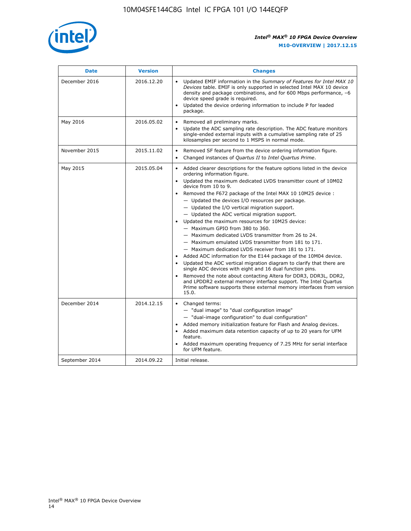

| <b>Date</b>    | <b>Version</b> | <b>Changes</b>                                                                                                                                                                                                                                                                                                                                                                                                                                                                                                                                                                                                                                                                                                                                                                                                                                                                                                                                                                                                                                                                                                  |
|----------------|----------------|-----------------------------------------------------------------------------------------------------------------------------------------------------------------------------------------------------------------------------------------------------------------------------------------------------------------------------------------------------------------------------------------------------------------------------------------------------------------------------------------------------------------------------------------------------------------------------------------------------------------------------------------------------------------------------------------------------------------------------------------------------------------------------------------------------------------------------------------------------------------------------------------------------------------------------------------------------------------------------------------------------------------------------------------------------------------------------------------------------------------|
| December 2016  | 2016.12.20     | • Updated EMIF information in the Summary of Features for Intel MAX 10<br>Devices table. EMIF is only supported in selected Intel MAX 10 device<br>density and package combinations, and for 600 Mbps performance, -6<br>device speed grade is required.<br>Updated the device ordering information to include P for leaded<br>package.                                                                                                                                                                                                                                                                                                                                                                                                                                                                                                                                                                                                                                                                                                                                                                         |
| May 2016       | 2016.05.02     | Removed all preliminary marks.<br>Update the ADC sampling rate description. The ADC feature monitors<br>single-ended external inputs with a cumulative sampling rate of 25<br>kilosamples per second to 1 MSPS in normal mode.                                                                                                                                                                                                                                                                                                                                                                                                                                                                                                                                                                                                                                                                                                                                                                                                                                                                                  |
| November 2015  | 2015.11.02     | Removed SF feature from the device ordering information figure.<br>$\bullet$<br>Changed instances of Quartus II to Intel Quartus Prime.<br>$\bullet$                                                                                                                                                                                                                                                                                                                                                                                                                                                                                                                                                                                                                                                                                                                                                                                                                                                                                                                                                            |
| May 2015       | 2015.05.04     | Added clearer descriptions for the feature options listed in the device<br>ordering information figure.<br>Updated the maximum dedicated LVDS transmitter count of 10M02<br>device from 10 to 9.<br>Removed the F672 package of the Intel MAX 10 10M25 device :<br>- Updated the devices I/O resources per package.<br>- Updated the I/O vertical migration support.<br>- Updated the ADC vertical migration support.<br>Updated the maximum resources for 10M25 device:<br>- Maximum GPIO from 380 to 360.<br>- Maximum dedicated LVDS transmitter from 26 to 24.<br>- Maximum emulated LVDS transmitter from 181 to 171.<br>- Maximum dedicated LVDS receiver from 181 to 171.<br>Added ADC information for the E144 package of the 10M04 device.<br>Updated the ADC vertical migration diagram to clarify that there are<br>single ADC devices with eight and 16 dual function pins.<br>Removed the note about contacting Altera for DDR3, DDR3L, DDR2,<br>and LPDDR2 external memory interface support. The Intel Quartus<br>Prime software supports these external memory interfaces from version<br>15.0. |
| December 2014  | 2014.12.15     | Changed terms:<br>- "dual image" to "dual configuration image"<br>- "dual-image configuration" to dual configuration"<br>Added memory initialization feature for Flash and Analog devices.<br>Added maximum data retention capacity of up to 20 years for UFM<br>feature.<br>Added maximum operating frequency of 7.25 MHz for serial interface<br>for UFM feature.                                                                                                                                                                                                                                                                                                                                                                                                                                                                                                                                                                                                                                                                                                                                             |
| September 2014 | 2014.09.22     | Initial release.                                                                                                                                                                                                                                                                                                                                                                                                                                                                                                                                                                                                                                                                                                                                                                                                                                                                                                                                                                                                                                                                                                |